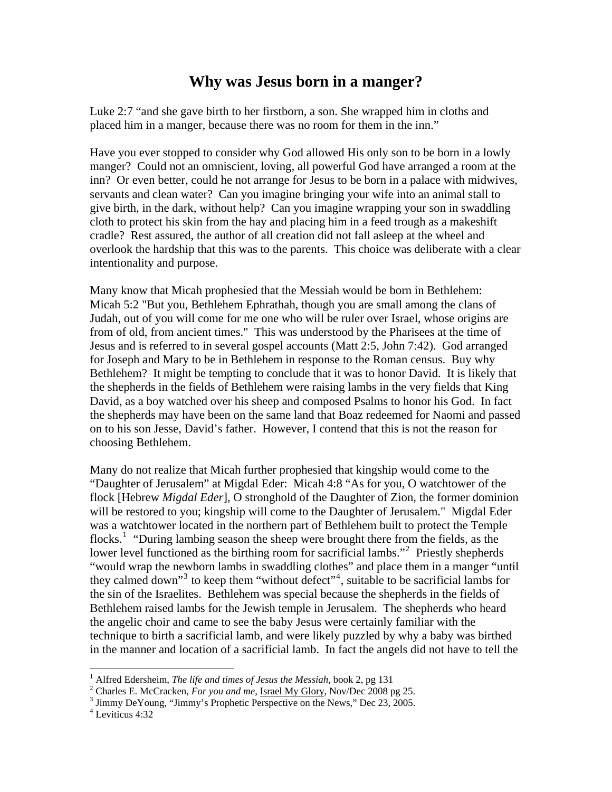## **Why was Jesus born in a manger?**

Luke 2:7 "and she gave birth to her firstborn, a son. She wrapped him in cloths and placed him in a manger, because there was no room for them in the inn."

Have you ever stopped to consider why God allowed His only son to be born in a lowly manger? Could not an omniscient, loving, all powerful God have arranged a room at the inn? Or even better, could he not arrange for Jesus to be born in a palace with midwives, servants and clean water? Can you imagine bringing your wife into an animal stall to give birth, in the dark, without help? Can you imagine wrapping your son in swaddling cloth to protect his skin from the hay and placing him in a feed trough as a makeshift cradle? Rest assured, the author of all creation did not fall asleep at the wheel and overlook the hardship that this was to the parents. This choice was deliberate with a clear intentionality and purpose.

Many know that Micah prophesied that the Messiah would be born in Bethlehem: Micah 5:2 "But you, Bethlehem Ephrathah, though you are small among the clans of Judah, out of you will come for me one who will be ruler over Israel, whose origins are from of old, from ancient times." This was understood by the Pharisees at the time of Jesus and is referred to in several gospel accounts (Matt 2:5, John 7:42). God arranged for Joseph and Mary to be in Bethlehem in response to the Roman census. Buy why Bethlehem? It might be tempting to conclude that it was to honor David. It is likely that the shepherds in the fields of Bethlehem were raising lambs in the very fields that King David, as a boy watched over his sheep and composed Psalms to honor his God. In fact the shepherds may have been on the same land that Boaz redeemed for Naomi and passed on to his son Jesse, David's father. However, I contend that this is not the reason for choosing Bethlehem.

Many do not realize that Micah further prophesied that kingship would come to the "Daughter of Jerusalem" at Migdal Eder: Micah 4:8 "As for you, O watchtower of the flock [Hebrew *Migdal Eder*], O stronghold of the Daughter of Zion, the former dominion will be restored to you; kingship will come to the Daughter of Jerusalem." Migdal Eder was a watchtower located in the northern part of Bethlehem built to protect the Temple flocks.<sup>[1](#page-0-0)</sup> "During lambing season the sheep were brought there from the fields, as the lower level functioned as the birthing room for sacrificial lambs."<sup>[2](#page-0-1)</sup> Priestly shepherds "would wrap the newborn lambs in swaddling clothes" and place them in a manger "until they calmed down"<sup>[3](#page-0-2)</sup> to keep them "without defect"<sup>[4](#page-0-3)</sup>, suitable to be sacrificial lambs for the sin of the Israelites. Bethlehem was special because the shepherds in the fields of Bethlehem raised lambs for the Jewish temple in Jerusalem. The shepherds who heard the angelic choir and came to see the baby Jesus were certainly familiar with the technique to birth a sacrificial lamb, and were likely puzzled by why a baby was birthed in the manner and location of a sacrificial lamb. In fact the angels did not have to tell the

 $\overline{a}$ 

<span id="page-0-0"></span><sup>&</sup>lt;sup>1</sup> Alfred Edersheim, *The life and times of Jesus the Messiah*, book 2, pg 131 <sup>1</sup> Alfred Edersheim, *The life and times of Jesus the Messiah*, book 2, pg 131<br><sup>2</sup> Charles E. McCrocken, *Earney and me, Jersel My Glery, New Dee* 2008 p

<sup>&</sup>lt;sup>2</sup> Charles E. McCracken, *For you and me*, <u>Israel My Glory</u>, Nov/Dec 2008 pg 25.<br><sup>3</sup> Jimmy De Young, "Jimmy's Prophetic Perspective on the Navs" Dec 22, 2005.

<span id="page-0-2"></span><span id="page-0-1"></span><sup>&</sup>lt;sup>3</sup> Jimmy DeYoung, "Jimmy's Prophetic Perspective on the News," Dec 23, 2005.

<span id="page-0-3"></span><sup>4</sup> Leviticus 4:32